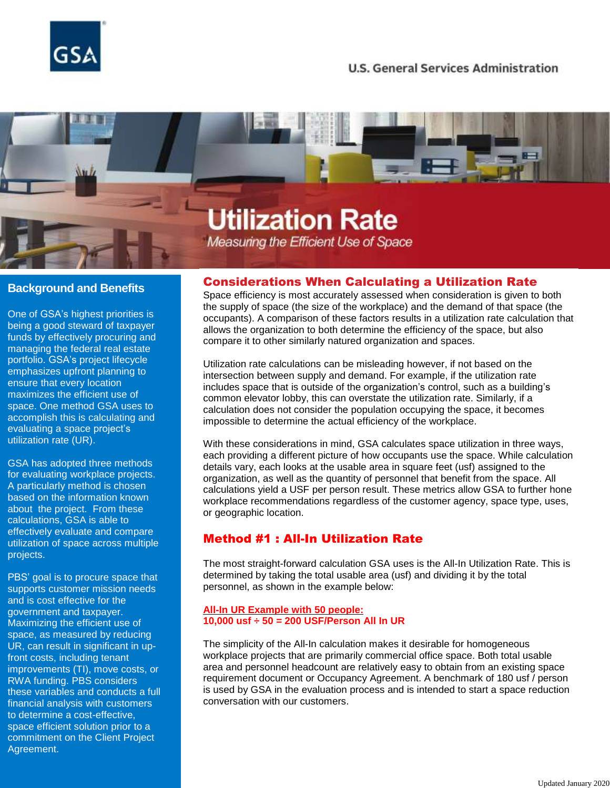

## **U.S. General Services Administration**

# **Utilization Rate** Measuring the Efficient Use of Space

### **Background and Benefits**

One of GSA's highest priorities is being a good steward of taxpayer funds by effectively procuring and managing the federal real estate portfolio. GSA's project lifecycle emphasizes upfront planning to ensure that every location maximizes the efficient use of space. One method GSA uses to accomplish this is calculating and evaluating a space project's utilization rate (UR).

GSA has adopted three methods for evaluating workplace projects. A particularly method is chosen based on the information known about the project. From these calculations, GSA is able to effectively evaluate and compare utilization of space across multiple projects.

PBS' goal is to procure space that supports customer mission needs and is cost effective for the government and taxpayer. Maximizing the efficient use of space, as measured by reducing UR, can result in significant in upfront costs, including tenant improvements (TI), move costs, or RWA funding. PBS considers these variables and conducts a full financial analysis with customers to determine a cost-effective, space efficient solution prior to a commitment on the Client Project Agreement.

#### Considerations When Calculating a Utilization Rate

Space efficiency is most accurately assessed when consideration is given to both the supply of space (the size of the workplace) and the demand of that space (the occupants). A comparison of these factors results in a utilization rate calculation that allows the organization to both determine the efficiency of the space, but also compare it to other similarly natured organization and spaces.

Utilization rate calculations can be misleading however, if not based on the intersection between supply and demand. For example, if the utilization rate includes space that is outside of the organization's control, such as a building's common elevator lobby, this can overstate the utilization rate. Similarly, if a calculation does not consider the population occupying the space, it becomes impossible to determine the actual efficiency of the workplace.

With these considerations in mind, GSA calculates space utilization in three ways, each providing a different picture of how occupants use the space. While calculation details vary, each looks at the usable area in square feet (usf) assigned to the organization, as well as the quantity of personnel that benefit from the space. All calculations yield a USF per person result. These metrics allow GSA to further hone workplace recommendations regardless of the customer agency, space type, uses, or geographic location.

## Method #1 : All-In Utilization Rate

The most straight-forward calculation GSA uses is the All-In Utilization Rate. This is determined by taking the total usable area (usf) and dividing it by the total personnel, as shown in the example below:

#### **All-In UR Example with 50 people: 10,000 usf ÷ 50 = 200 USF/Person All In UR**

The simplicity of the All-In calculation makes it desirable for homogeneous workplace projects that are primarily commercial office space. Both total usable area and personnel headcount are relatively easy to obtain from an existing space requirement document or Occupancy Agreement. A benchmark of 180 usf / person is used by GSA in the evaluation process and is intended to start a space reduction conversation with our customers.